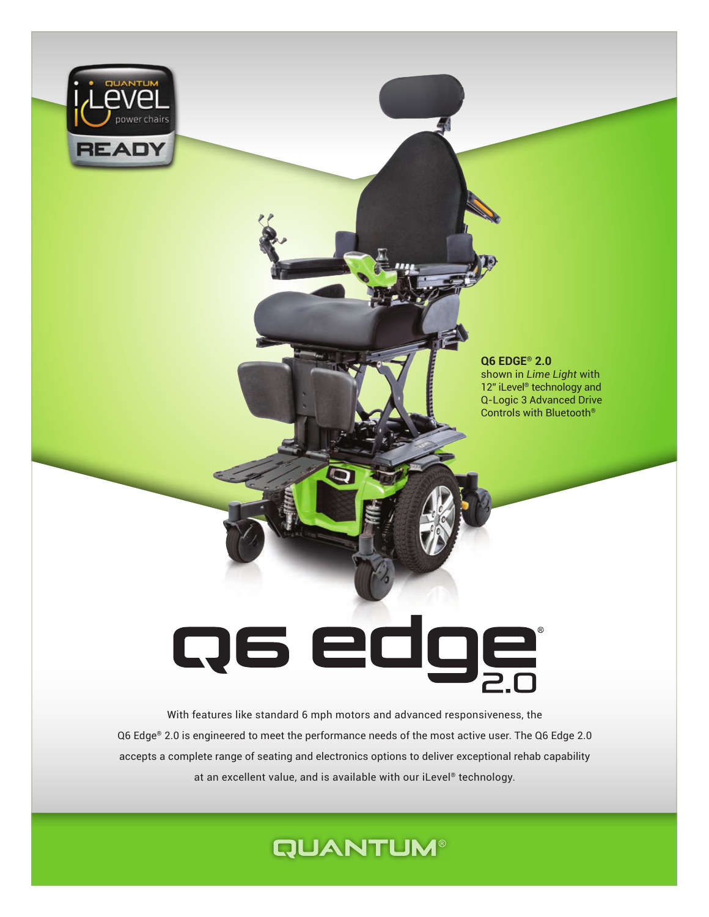

#### **Q6 EDGE® 2.0** shown in *Lime Light* with 12" iLevel<sup>®</sup> technology and Q-Logic 3 Advanced Drive Controls with Bluetooth®

# **Q6 edge**

With features like standard 6 mph motors and advanced responsiveness, the Q6 Edge® 2.0 is engineered to meet the performance needs of the most active user. The Q6 Edge 2.0 accepts a complete range of seating and electronics options to deliver exceptional rehab capability at an excellent value, and is available with our iLevel® technology.

# **QUANTUM®**